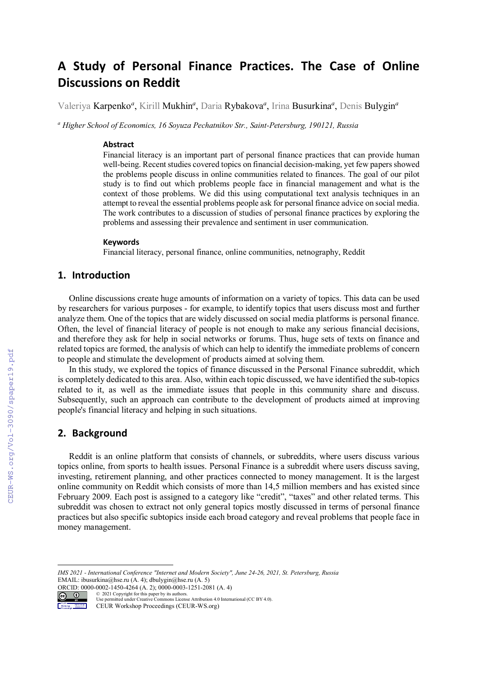# **A Study of Personal Finance Practices. The Case of Online Discussions on Reddit**

Valeriya Karpenko<sup>a</sup>, Kirill Mukhin<sup>a</sup>, Daria Rybakova<sup>a</sup>, Irina Busurkina<sup>a</sup>, Denis Bulygin<sup>a</sup>

*<sup>a</sup> Higher School of Economics, 16 Soyuza Pechatnikov Str., Saint-Petersburg, 190121, Russia* 

#### **Abstract**

Financial literacy is an important part of personal finance practices that can provide human well-being. Recent studies covered topics on financial decision-making, yet few papers showed the problems people discuss in online communities related to finances. The goal of our pilot study is to find out which problems people face in financial management and what is the context of those problems. We did this using computational text analysis techniques in an attempt to reveal the essential problems people ask for personal finance advice on social media. The work contributes to a discussion of studies of personal finance practices by exploring the problems and assessing their prevalence and sentiment in user communication.

#### **Keywords**

Financial literacy, personal finance, online communities, netnography, Reddit

## **1. Introduction**

Online discussions create huge amounts of information on a variety of topics. This data can be used by researchers for various purposes - for example, to identify topics that users discuss most and further analyze them. One of the topics that are widely discussed on social media platforms is personal finance. Often, the level of financial literacy of people is not enough to make any serious financial decisions, and therefore they ask for help in social networks or forums. Thus, huge sets of texts on finance and related topics are formed, the analysis of which can help to identify the immediate problems of concern to people and stimulate the development of products aimed at solving them.

In this study, we explored the topics of finance discussed in the Personal Finance subreddit, which is completely dedicated to this area. Also, within each topic discussed, we have identified the sub-topics related to it, as well as the immediate issues that people in this community share and discuss. Subsequently, such an approach can contribute to the development of products aimed at improving people's financial literacy and helping in such situations.

## **2. Background**

Reddit is an online platform that consists of channels, or subreddits, where users discuss various topics online, from sports to health issues. Personal Finance is a subreddit where users discuss saving, investing, retirement planning, and other practices connected to money management. It is the largest online community on Reddit which consists of more than 14,5 million members and has existed since February 2009. Each post is assigned to a category like "credit", "taxes" and other related terms. This subreddit was chosen to extract not only general topics mostly discussed in terms of personal finance practices but also specific subtopics inside each broad category and reveal problems that people face in money management.

*IMS 2021 - International Conference "Internet and Modern Society", June 24-26, 2021, St. Petersburg, Russia* EMAIL: ibusurkina@hse.ru (A. 4); dbulygin@hse.ru (A. 5)

ORCID: 0000-0002-1450-4264 (A. 2); 0000-0003-1251-2081 (A. 4)<br>
© 2021 Copyright for this paper by its authors.

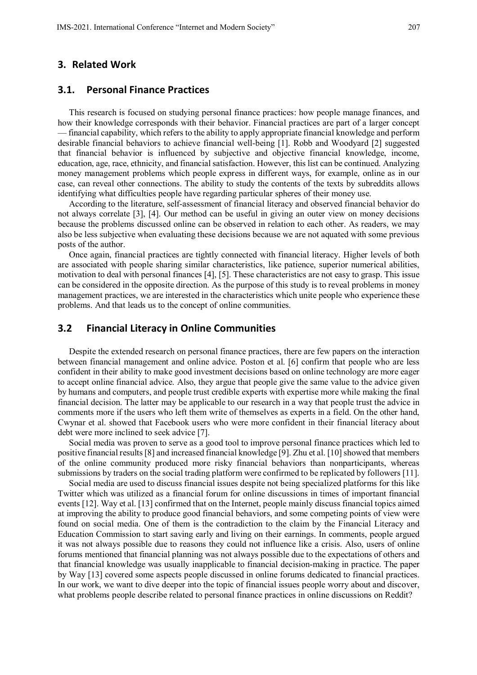#### **3. Related Work**

#### **3.1. Personal Finance Practices**

This research is focused on studying personal finance practices: how people manage finances, and how their knowledge corresponds with their behavior. Financial practices are part of a larger concept — financial capability, which refers to the ability to apply appropriate financial knowledge and perform desirable financial behaviors to achieve financial well-being [1]. Robb and Woodyard [2] suggested that financial behavior is influenced by subjective and objective financial knowledge, income, education, age, race, ethnicity, and financial satisfaction. However, this list can be continued. Analyzing money management problems which people express in different ways, for example, online as in our case, can reveal other connections. The ability to study the contents of the texts by subreddits allows identifying what difficulties people have regarding particular spheres of their money use.

According to the literature, self-assessment of financial literacy and observed financial behavior do not always correlate [3], [4]. Our method can be useful in giving an outer view on money decisions because the problems discussed online can be observed in relation to each other. As readers, we may also be less subjective when evaluating these decisions because we are not aquated with some previous posts of the author.

Once again, financial practices are tightly connected with financial literacy. Higher levels of both are associated with people sharing similar characteristics, like patience, superior numerical abilities, motivation to deal with personal finances [4], [5]. These characteristics are not easy to grasp. This issue can be considered in the opposite direction. As the purpose of this study is to reveal problems in money management practices, we are interested in the characteristics which unite people who experience these problems. And that leads us to the concept of online communities.

# **3.2 Financial Literacy in Online Communities**

Despite the extended research on personal finance practices, there are few papers on the interaction between financial management and online advice. Poston et al. [6] confirm that people who are less confident in their ability to make good investment decisions based on online technology are more eager to accept online financial advice. Also, they argue that people give the same value to the advice given by humans and computers, and people trust credible experts with expertise more while making the final financial decision. The latter may be applicable to our research in a way that people trust the advice in comments more if the users who left them write of themselves as experts in a field. On the other hand, Cwynar et al. showed that Facebook users who were more confident in their financial literacy about debt were more inclined to seek advice [7].

Social media was proven to serve as a good tool to improve personal finance practices which led to positive financial results [8] and increased financial knowledge [9]. Zhu et al. [10] showed that members of the online community produced more risky financial behaviors than nonparticipants, whereas submissions by traders on the social trading platform were confirmed to be replicated by followers [11].

Social media are used to discuss financial issues despite not being specialized platforms for this like Twitter which was utilized as a financial forum for online discussions in times of important financial events [12]. Way et al. [13] confirmed that on the Internet, people mainly discuss financial topics aimed at improving the ability to produce good financial behaviors, and some competing points of view were found on social media. One of them is the contradiction to the claim by the Financial Literacy and Education Commission to start saving early and living on their earnings. In comments, people argued it was not always possible due to reasons they could not influence like a crisis. Also, users of online forums mentioned that financial planning was not always possible due to the expectations of others and that financial knowledge was usually inapplicable to financial decision-making in practice. The paper by Way [13] covered some aspects people discussed in online forums dedicated to financial practices. In our work, we want to dive deeper into the topic of financial issues people worry about and discover, what problems people describe related to personal finance practices in online discussions on Reddit?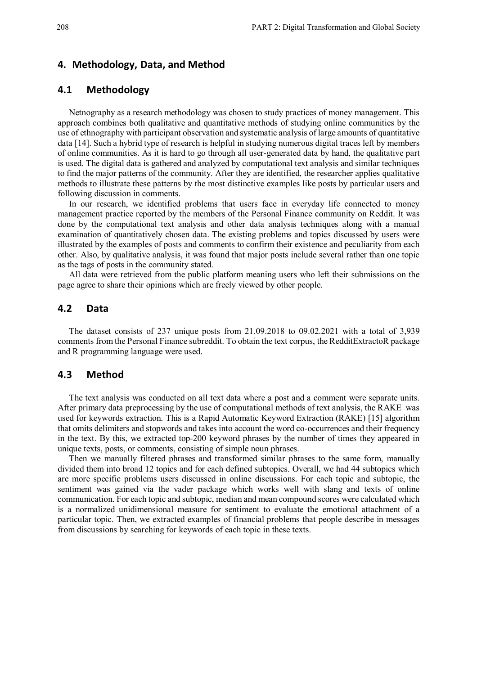#### **4. Methodology, Data, and Method**

# **4.1 Methodology**

Netnography as a research methodology was chosen to study practices of money management. This approach combines both qualitative and quantitative methods of studying online communities by the use of ethnography with participant observation and systematic analysis of large amounts of quantitative data [14]. Such a hybrid type of research is helpful in studying numerous digital traces left by members of online communities. As it is hard to go through all user-generated data by hand, the qualitative part is used. The digital data is gathered and analyzed by computational text analysis and similar techniques to find the major patterns of the community. After they are identified, the researcher applies qualitative methods to illustrate these patterns by the most distinctive examples like posts by particular users and following discussion in comments.

In our research, we identified problems that users face in everyday life connected to money management practice reported by the members of the Personal Finance community on Reddit. It was done by the computational text analysis and other data analysis techniques along with a manual examination of quantitatively chosen data. The existing problems and topics discussed by users were illustrated by the examples of posts and comments to confirm their existence and peculiarity from each other. Also, by qualitative analysis, it was found that major posts include several rather than one topic as the tags of posts in the community stated.

All data were retrieved from the public platform meaning users who left their submissions on the page agree to share their opinions which are freely viewed by other people.

## **4.2 Data**

The dataset consists of 237 unique posts from 21.09.2018 to 09.02.2021 with a total of 3,939 comments from the Personal Finance subreddit. To obtain the text corpus, the RedditExtractoR package and R programming language were used.

### **4.3 Method**

The text analysis was conducted on all text data where a post and a comment were separate units. After primary data preprocessing by the use of computational methods of text analysis, the RAKE was used for keywords extraction. This is a Rapid Automatic Keyword Extraction (RAKE) [15] algorithm that omits delimiters and stopwords and takes into account the word co-occurrences and their frequency in the text. By this, we extracted top-200 keyword phrases by the number of times they appeared in unique texts, posts, or comments, consisting of simple noun phrases.

Then we manually filtered phrases and transformed similar phrases to the same form, manually divided them into broad 12 topics and for each defined subtopics. Overall, we had 44 subtopics which are more specific problems users discussed in online discussions. For each topic and subtopic, the sentiment was gained via the vader package which works well with slang and texts of online communication. For each topic and subtopic, median and mean compound scores were calculated which is a normalized unidimensional measure for sentiment to evaluate the emotional attachment of a particular topic. Then, we extracted examples of financial problems that people describe in messages from discussions by searching for keywords of each topic in these texts.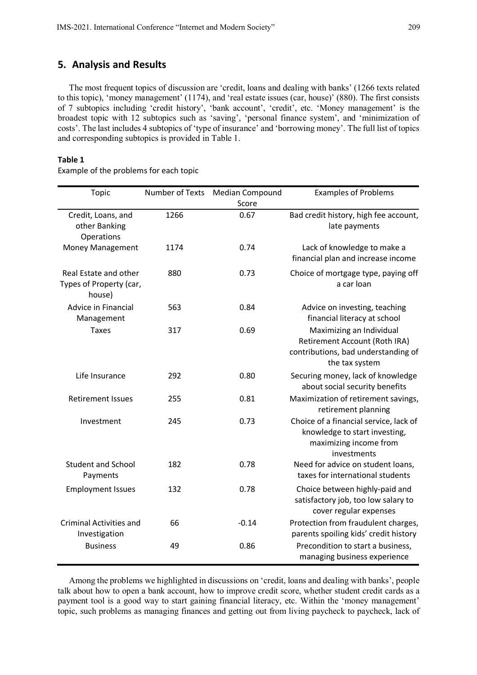## **5. Analysis and Results**

The most frequent topics of discussion are 'credit, loans and dealing with banks' (1266 texts related to this topic), 'money management' (1174), and 'real estate issues (car, house)' (880). The first consists of 7 subtopics including 'credit history', 'bank account', 'credit', etc. 'Money management' is the broadest topic with 12 subtopics such as 'saving', 'personal finance system', and 'minimization of costs'. The last includes 4 subtopics of 'type of insurance' and 'borrowing money'. The full list of topics and corresponding subtopics is provided in Table 1.

#### **Table 1**

Example of the problems for each topic

| Topic                                                      | <b>Number of Texts</b> | Median Compound<br>Score | <b>Examples of Problems</b>                                                                                        |
|------------------------------------------------------------|------------------------|--------------------------|--------------------------------------------------------------------------------------------------------------------|
| Credit, Loans, and<br>other Banking<br>Operations          | 1266                   | 0.67                     | Bad credit history, high fee account,<br>late payments                                                             |
| Money Management                                           | 1174                   | 0.74                     | Lack of knowledge to make a<br>financial plan and increase income                                                  |
| Real Estate and other<br>Types of Property (car,<br>house) | 880                    | 0.73                     | Choice of mortgage type, paying off<br>a car loan                                                                  |
| Advice in Financial<br>Management                          | 563                    | 0.84                     | Advice on investing, teaching<br>financial literacy at school                                                      |
| <b>Taxes</b>                                               | 317                    | 0.69                     | Maximizing an Individual<br>Retirement Account (Roth IRA)<br>contributions, bad understanding of<br>the tax system |
| Life Insurance                                             | 292                    | 0.80                     | Securing money, lack of knowledge<br>about social security benefits                                                |
| <b>Retirement Issues</b>                                   | 255                    | 0.81                     | Maximization of retirement savings,<br>retirement planning                                                         |
| Investment                                                 | 245                    | 0.73                     | Choice of a financial service, lack of<br>knowledge to start investing,<br>maximizing income from<br>investments   |
| <b>Student and School</b><br>Payments                      | 182                    | 0.78                     | Need for advice on student loans,<br>taxes for international students                                              |
| <b>Employment Issues</b>                                   | 132                    | 0.78                     | Choice between highly-paid and<br>satisfactory job, too low salary to<br>cover regular expenses                    |
| <b>Criminal Activities and</b><br>Investigation            | 66                     | $-0.14$                  | Protection from fraudulent charges,<br>parents spoiling kids' credit history                                       |
| <b>Business</b>                                            | 49                     | 0.86                     | Precondition to start a business,<br>managing business experience                                                  |

Among the problems we highlighted in discussions on 'credit, loans and dealing with banks', people talk about how to open a bank account, how to improve credit score, whether student credit cards as a payment tool is a good way to start gaining financial literacy, etc. Within the 'money management' topic, such problems as managing finances and getting out from living paycheck to paycheck, lack of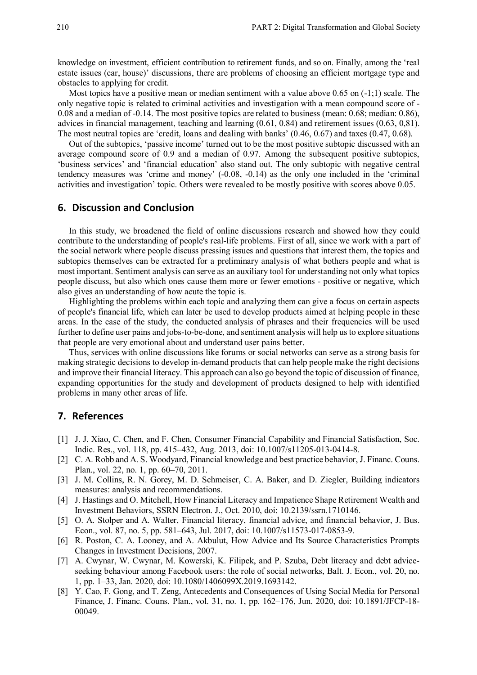knowledge on investment, efficient contribution to retirement funds, and so on. Finally, among the 'real estate issues (car, house)' discussions, there are problems of choosing an efficient mortgage type and obstacles to applying for credit.

Most topics have a positive mean or median sentiment with a value above  $0.65$  on  $(-1,1)$  scale. The only negative topic is related to criminal activities and investigation with a mean compound score of - 0.08 and a median of -0.14. The most positive topics are related to business (mean: 0.68; median: 0.86), adviсes in financial management, teaching and learning (0.61, 0.84) and retirement issues (0.63, 0,81). The most neutral topics are 'credit, loans and dealing with banks' (0.46, 0.67) and taxes (0.47, 0.68).

Out of the subtopics, 'passive income' turned out to be the most positive subtopic discussed with an average compound score of 0.9 and a median of 0.97. Among the subsequent positive subtopics, 'business services' and 'financial education' also stand out. The only subtopic with negative central tendency measures was 'crime and money' (-0.08, -0,14) as the only one included in the 'criminal activities and investigation' topic. Others were revealed to be mostly positive with scores above 0.05.

## **6. Discussion and Conclusion**

In this study, we broadened the field of online discussions research and showed how they could contribute to the understanding of people's real-life problems. First of all, since we work with a part of the social network where people discuss pressing issues and questions that interest them, the topics and subtopics themselves can be extracted for a preliminary analysis of what bothers people and what is most important. Sentiment analysis can serve as an auxiliary tool for understanding not only what topics people discuss, but also which ones cause them more or fewer emotions - positive or negative, which also gives an understanding of how acute the topic is.

Highlighting the problems within each topic and analyzing them can give a focus on certain aspects of people's financial life, which can later be used to develop products aimed at helping people in these areas. In the case of the study, the conducted analysis of phrases and their frequencies will be used further to define user pains and jobs-to-be-done, and sentiment analysis will help us to explore situations that people are very emotional about and understand user pains better.

Thus, services with online discussions like forums or social networks can serve as a strong basis for making strategic decisions to develop in-demand products that can help people make the right decisions and improve their financial literacy. This approach can also go beyond the topic of discussion of finance, expanding opportunities for the study and development of products designed to help with identified problems in many other areas of life.

# **7. References**

- [1] J. J. Xiao, C. Chen, and F. Chen, Consumer Financial Capability and Financial Satisfaction, Soc. Indic. Res., vol. 118, pp. 415–432, Aug. 2013, doi: 10.1007/s11205-013-0414-8.
- [2] C. A. Robb and A. S. Woodyard, Financial knowledge and best practice behavior, J. Financ. Couns. Plan., vol. 22, no. 1, pp. 60–70, 2011.
- [3] J. M. Collins, R. N. Gorey, M. D. Schmeiser, C. A. Baker, and D. Ziegler, Building indicators measures: analysis and recommendations.
- [4] J. Hastings and O. Mitchell, How Financial Literacy and Impatience Shape Retirement Wealth and Investment Behaviors, SSRN Electron. J., Oct. 2010, doi: 10.2139/ssrn.1710146.
- [5] O. A. Stolper and A. Walter, Financial literacy, financial advice, and financial behavior, J. Bus. Econ., vol. 87, no. 5, pp. 581–643, Jul. 2017, doi: 10.1007/s11573-017-0853-9.
- [6] R. Poston, C. A. Looney, and A. Akbulut, How Advice and Its Source Characteristics Prompts Changes in Investment Decisions, 2007.
- [7] A. Cwynar, W. Cwynar, M. Kowerski, K. Filipek, and P. Szuba, Debt literacy and debt adviceseeking behaviour among Facebook users: the role of social networks, Balt. J. Econ., vol. 20, no. 1, pp. 1–33, Jan. 2020, doi: 10.1080/1406099X.2019.1693142.
- [8] Y. Cao, F. Gong, and T. Zeng, Antecedents and Consequences of Using Social Media for Personal Finance, J. Financ. Couns. Plan., vol. 31, no. 1, pp. 162–176, Jun. 2020, doi: 10.1891/JFCP-18- 00049.